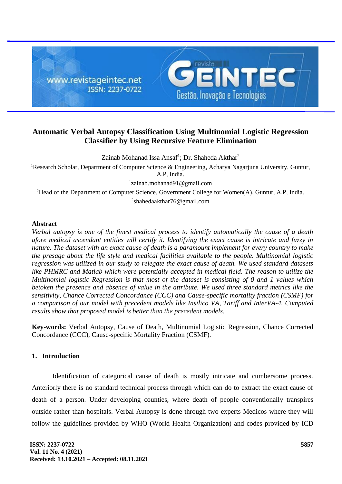

# **Automatic Verbal Autopsy Classification Using Multinomial Logistic Regression Classifier by Using Recursive Feature Elimination**

Zainab Mohanad Issa Ansaf<sup>1</sup>; Dr. Shaheda Akthar<sup>2</sup> <sup>1</sup>Research Scholar, Department of Computer Science & Engineering, Acharya Nagariuna University, Guntur, A.P, India. 1 [zainab.mohanad91@gmail.com](mailto:zainab.mohanad91@gmail.com) <sup>2</sup>Head of the Department of Computer Science, Government College for Women(A), Guntur, A.P, India. 2 [shahedaakthar76@gmail.com](mailto:shahedaakthar76@gmail.com)

## **Abstract**

*Verbal autopsy is one of the finest medical process to identify automatically the cause of a death afore medical ascendant entities will certify it. Identifying the exact cause is intricate and fuzzy in nature. The dataset with an exact cause of death is a paramount implement for every country to make the presage about the life style and medical facilities available to the people. Multinomial logistic regression was utilized in our study to relegate the exact cause of death. We used standard datasets like PHMRC and Matlab which were potentially accepted in medical field. The reason to utilize the Multinomial logistic Regression is that most of the dataset is consisting of 0 and 1 values which betoken the presence and absence of value in the attribute. We used three standard metrics like the sensitivity, Chance Corrected Concordance (CCC) and Cause-specific mortality fraction (CSMF) for a comparison of our model with precedent models like Insilico VA, Tariff and InterVA-4. Computed results show that proposed model is better than the precedent models.*

**Key-words:** Verbal Autopsy, Cause of Death, Multinomial Logistic Regression, Chance Corrected Concordance (CCC), Cause-specific Mortality Fraction (CSMF).

# **1. Introduction**

Identification of categorical cause of death is mostly intricate and cumbersome process. Anteriorly there is no standard technical process through which can do to extract the exact cause of death of a person. Under developing counties, where death of people conventionally transpires outside rather than hospitals. Verbal Autopsy is done through two experts Medicos where they will follow the guidelines provided by WHO (World Health Organization) and codes provided by ICD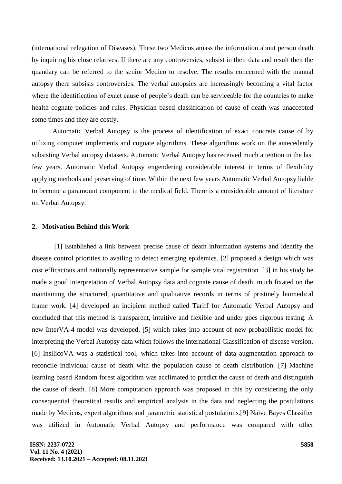(international relegation of Diseases). These two Medicos amass the information about person death by inquiring his close relatives. If there are any controversies, subsist in their data and result then the quandary can be referred to the senior Medico to resolve. The results concerned with the manual autopsy there subsists controversies. The verbal autopsies are increasingly becoming a vital factor where the identification of exact cause of people's death can be serviceable for the countries to make health cognate policies and rules. Physician based classification of cause of death was unaccepted some times and they are costly.

Automatic Verbal Autopsy is the process of identification of exact concrete cause of by utilizing computer implements and cognate algorithms. These algorithms work on the antecedently subsisting Verbal autopsy datasets. Automatic Verbal Autopsy has received much attention in the last few years. Automatic Verbal Autopsy engendering considerable interest in terms of flexibility applying methods and preserving of time. Within the next few years Automatic Verbal Autopsy liable to become a paramount component in the medical field. There is a considerable amount of literature on Verbal Autopsy.

#### **2. Motivation Behind this Work**

[1] Established a link between precise cause of death information systems and identify the disease control priorities to availing to detect emerging epidemics. [2] proposed a design which was cost efficacious and nationally representative sample for sample vital registration. [3] in his study he made a good interpretation of Verbal Autopsy data and cognate cause of death, much fixated on the maintaining the structured, quantitative and qualitative records in terms of pristinely biomedical frame work. [4] developed an incipient method called Tariff for Automatic Verbal Autopsy and concluded that this method is transparent, intuitive and flexible and under goes rigorous testing. A new InterVA-4 model was developed, [5] which takes into account of new probabilistic model for interpreting the Verbal Autopsy data which follows the international Classification of disease version. [6] InsilicoVA was a statistical tool, which takes into account of data augmentation approach to reconcile individual cause of death with the population cause of death distribution. [7] Machine learning based Random forest algorithm was acclimated to predict the cause of death and distinguish the cause of death. [8] More computation approach was proposed in this by considering the only consequential theoretical results and empirical analysis in the data and neglecting the postulations made by Medicos, expert algorithms and parametric statistical postulations.[9] Naïve Bayes Classifier was utilized in Automatic Verbal Autopsy and performance was compared with other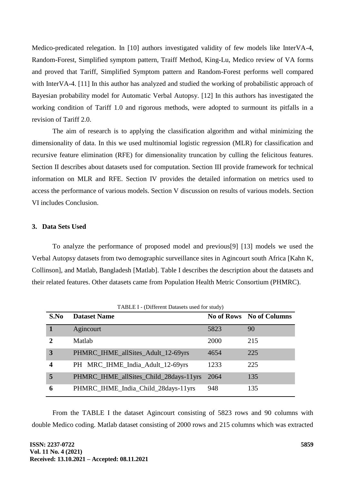Medico-predicated relegation. In [10] authors investigated validity of few models like InterVA-4, Random-Forest, Simplified symptom pattern, Traiff Method, King-Lu, Medico review of VA forms and proved that Tariff, Simplified Symptom pattern and Random-Forest performs well compared with InterVA-4. [11] In this author has analyzed and studied the working of probabilistic approach of Bayesian probability model for Automatic Verbal Autopsy. [12] In this authors has investigated the working condition of Tariff 1.0 and rigorous methods, were adopted to surmount its pitfalls in a revision of Tariff 2.0.

The aim of research is to applying the classification algorithm and withal minimizing the dimensionality of data. In this we used multinomial logistic regression (MLR) for classification and recursive feature elimination (RFE) for dimensionality truncation by culling the felicitous features. Section II describes about datasets used for computation. Section III provide framework for technical information on MLR and RFE. Section IV provides the detailed information on metrics used to access the performance of various models. Section V discussion on results of various models. Section VI includes Conclusion.

## **3. Data Sets Used**

To analyze the performance of proposed model and previous[9] [13] models we used the Verbal Autopsy datasets from two demographic surveillance sites in Agincourt south Africa [Kahn K, Collinson], and Matlab, Bangladesh [Matlab]. Table I describes the description about the datasets and their related features. Other datasets came from Population Health Metric Consortium (PHMRC).

| TABLE I - (Different Datasets used for study) |                                        |      |                                 |  |  |  |  |  |  |
|-----------------------------------------------|----------------------------------------|------|---------------------------------|--|--|--|--|--|--|
| S.No                                          | <b>Dataset Name</b>                    |      | <b>No of Rows</b> No of Columns |  |  |  |  |  |  |
|                                               | Agincourt                              | 5823 | 90                              |  |  |  |  |  |  |
| $\mathbf{2}$                                  | Matlab                                 | 2000 | 215                             |  |  |  |  |  |  |
| 3                                             | PHMRC_IHME_allSites_Adult_12-69yrs     | 4654 | 225                             |  |  |  |  |  |  |
| $\overline{\mathbf{4}}$                       | PH MRC_IHME_India_Adult_12-69yrs       | 1233 | 225                             |  |  |  |  |  |  |
| 5                                             | PHMRC_IHME_allSites_Child_28days-11yrs | 2064 | 135                             |  |  |  |  |  |  |
| 6                                             | PHMRC_IHME_India_Child_28days-11yrs    | 948  | 135                             |  |  |  |  |  |  |

From the TABLE I the dataset Agincourt consisting of 5823 rows and 90 columns with double Medico coding. Matlab dataset consisting of 2000 rows and 215 columns which was extracted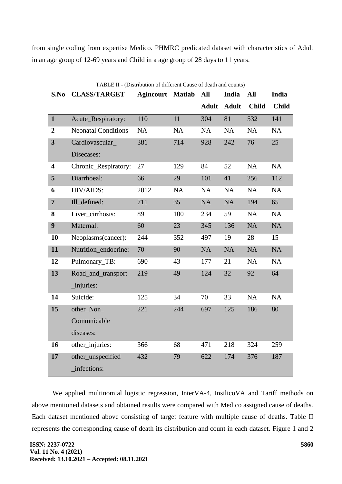from single coding from expertise Medico. PHMRC predicated dataset with characteristics of Adult in an age group of 12-69 years and Child in a age group of 28 days to 11 years.

|                         | TABLE II - (Distribution of different Cause of death and counts) |                  |               |              |              |              |              |  |  |  |  |
|-------------------------|------------------------------------------------------------------|------------------|---------------|--------------|--------------|--------------|--------------|--|--|--|--|
| S.No                    | <b>CLASS/TARGET</b>                                              | <b>Agincourt</b> | <b>Matlab</b> | All          | India        | All          | <b>India</b> |  |  |  |  |
|                         |                                                                  |                  |               | <b>Adult</b> | <b>Adult</b> | <b>Child</b> | <b>Child</b> |  |  |  |  |
| $\mathbf{1}$            | Acute_Respiratory:                                               | 110              | 11            | 304          | 81           | 532          | 141          |  |  |  |  |
| $\boldsymbol{2}$        | <b>Neonatal Conditions</b>                                       | <b>NA</b>        | <b>NA</b>     | NA           | <b>NA</b>    | <b>NA</b>    | <b>NA</b>    |  |  |  |  |
| $\overline{\mathbf{3}}$ | Cardiovascular_                                                  | 381              | 714           | 928          | 242          | 76           | 25           |  |  |  |  |
|                         | Disecases:                                                       |                  |               |              |              |              |              |  |  |  |  |
| $\overline{\mathbf{4}}$ | Chronic_Respiratory:                                             | 27               | 129           | 84           | 52           | <b>NA</b>    | <b>NA</b>    |  |  |  |  |
| 5                       | Diarrhoeal:                                                      | 66               | 29            | 101          | 41           | 256          | 112          |  |  |  |  |
| 6                       | HIV/AIDS:                                                        | 2012             | <b>NA</b>     | NA           | <b>NA</b>    | NA           | <b>NA</b>    |  |  |  |  |
| $\overline{7}$          | Ill_defined:                                                     | 711              | 35            | NA           | <b>NA</b>    | 194          | 65           |  |  |  |  |
| 8                       | Liver_cirrhosis:                                                 | 89               | 100           | 234          | 59           | <b>NA</b>    | NA           |  |  |  |  |
| 9                       | Maternal:                                                        | 60               | 23            | 345          | 136          | <b>NA</b>    | <b>NA</b>    |  |  |  |  |
| 10                      | Neoplasms(cancer):                                               | 244              | 352           | 497          | 19           | 28           | 15           |  |  |  |  |
| 11                      | Nutrition endocrine:                                             | 70               | 90            | NA           | <b>NA</b>    | NA           | NA           |  |  |  |  |
| 12                      | Pulmonary_TB:                                                    | 690              | 43            | 177          | 21           | NA           | <b>NA</b>    |  |  |  |  |
| 13                      | Road_and_transport                                               | 219              | 49            | 124          | 32           | 92           | 64           |  |  |  |  |
|                         | _injuries:                                                       |                  |               |              |              |              |              |  |  |  |  |
| 14                      | Suicide:                                                         | 125              | 34            | 70           | 33           | <b>NA</b>    | <b>NA</b>    |  |  |  |  |
| 15                      | other_Non_                                                       | 221              | 244           | 697          | 125          | 186          | 80           |  |  |  |  |
|                         | Commnicable                                                      |                  |               |              |              |              |              |  |  |  |  |
|                         | diseases:                                                        |                  |               |              |              |              |              |  |  |  |  |
| 16                      | other_injuries:                                                  | 366              | 68            | 471          | 218          | 324          | 259          |  |  |  |  |
| 17                      | other_unspecified                                                | 432              | 79            | 622          | 174          | 376          | 187          |  |  |  |  |
|                         | infections:                                                      |                  |               |              |              |              |              |  |  |  |  |

We applied multinomial logistic regression, InterVA-4, InsilicoVA and Tariff methods on above mentioned datasets and obtained results were compared with Medico assigned cause of deaths. Each dataset mentioned above consisting of target feature with multiple cause of deaths. Table II represents the corresponding cause of death its distribution and count in each dataset. Figure 1 and 2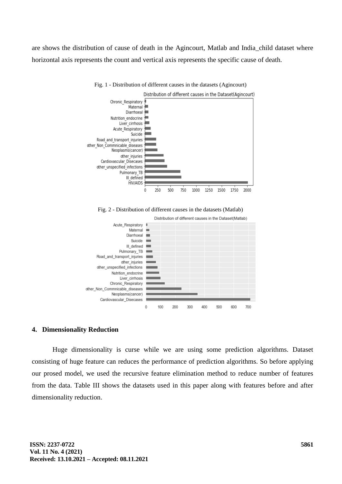are shows the distribution of cause of death in the Agincourt, Matlab and India\_child dataset where horizontal axis represents the count and vertical axis represents the specific cause of death.



Fig. 1 - Distribution of different causes in the datasets (Agincourt)

# **4. Dimensionality Reduction**

other\_Non\_Commnicable\_diseases

Neoplasms(cancer) Cardiovascular Disecases

 $\theta$ 

100

200

Huge dimensionality is curse while we are using some prediction algorithms. Dataset consisting of huge feature can reduces the performance of prediction algorithms. So before applying our prosed model, we used the recursive feature elimination method to reduce number of features from the data. Table III shows the datasets used in this paper along with features before and after dimensionality reduction.

300

400

500

600

700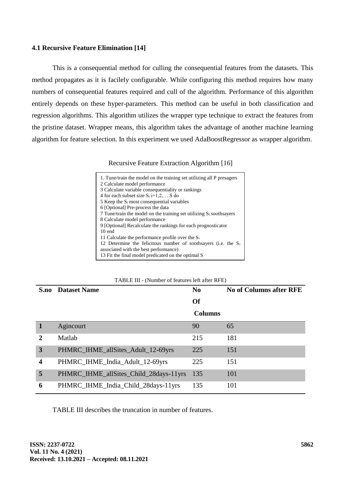## **4.1 Recursive Feature Elimination [14]**

This is a consequential method for culling the consequential features from the datasets. This method propagates as it is facilely configurable. While configuring this method requires how many numbers of consequential features required and cull of the algorithm. Performance of this algorithm entirely depends on these hyper-parameters. This method can be useful in both classification and regression algorithms. This algorithm utilizes the wrapper type technique to extract the features from the pristine dataset. Wrapper means, this algorithm takes the advantage of another machine learning algorithm for feature selection. In this experiment we used AdaBoostRegressor as wrapper algorithm.

Recursive Feature Extraction Algorithm [16]

| 1. Tune/train the model on the training set utilizing all P presagers      |  |
|----------------------------------------------------------------------------|--|
| 2 Calculate model performance                                              |  |
| 3 Calculate variable consequentiality or rankings                          |  |
| 4 for each subset size $S_i$ i=1,2,S do                                    |  |
| 5 Keep the S <sub>i</sub> most consequential variables                     |  |
| 6 [Optional] Pre-process the data                                          |  |
| 7 Tune/train the model on the training set utilizing $S_i$ soothsayers     |  |
| 8 Calculate model performance                                              |  |
| 9 [Optional] Recalculate the rankings for each prognosticator              |  |
| $10$ end                                                                   |  |
| 11 Calculate the performance profile over the $S_i$                        |  |
| 12 Determine the felicitous number of soothsayers (i.e. the S <sub>i</sub> |  |
| associated with the best performance)                                      |  |
| 13 Fit the final model predicated on the optimal S                         |  |
|                                                                            |  |

| TABLE III - (Number of features left after RFE) |
|-------------------------------------------------|
|-------------------------------------------------|

| S.no                    | <b>Dataset Name</b>                    | N <sub>0</sub> | <b>No of Columns after RFE</b> |
|-------------------------|----------------------------------------|----------------|--------------------------------|
|                         |                                        | <b>Of</b>      |                                |
|                         |                                        | <b>Columns</b> |                                |
|                         | Agincourt                              | 90             | 65                             |
| 2                       | Matlab                                 | 215            | 181                            |
| 3                       | PHMRC_IHME_allSites_Adult_12-69yrs     | 225            | 151                            |
| $\overline{\mathbf{4}}$ | PHMRC_IHME_India_Adult_12-69yrs        | 225            | 151                            |
| 5                       | PHMRC_IHME_allSites_Child_28days-11yrs | 135            | 101                            |
| 6                       | PHMRC_IHME_India_Child_28days-11yrs    | 135            | 101                            |

TABLE III describes the truncation in number of features.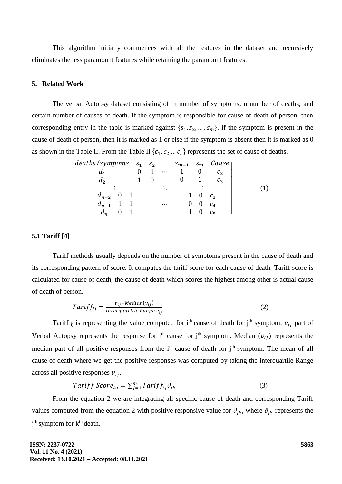This algorithm initially commences with all the features in the dataset and recursively eliminates the less paramount features while retaining the paramount features.

## **5. Related Work**

The verbal Autopsy dataset consisting of m number of symptoms, n number of deaths; and certain number of causes of death. If the symptom is responsible for cause of death of person, then corresponding entry in the table is marked against  $\{s_1, s_2, ..., s_m\}$ . if the symptom is present in the cause of death of person, then it is marked as 1 or else if the symptom is absent then it is marked as 0 as shown in the Table II. From the Table II  $\{c_1, c_2 ... c_L\}$  represents the set of cause of deaths.

| $\int$ deaths/sympoms $s_1$ $s_2$ |  |          | $s_{m-1}$ | $S_m$ | Cause <sub>1</sub> |  |
|-----------------------------------|--|----------|-----------|-------|--------------------|--|
|                                   |  | $\cdots$ |           |       | $\mathcal{C}$      |  |
| a <sub>2</sub>                    |  |          |           |       |                    |  |
|                                   |  |          |           |       |                    |  |
| $d_{n-2}$                         |  |          |           |       |                    |  |
| $d_{n-1}$                         |  | $\cdots$ |           | U     |                    |  |
| $a_n$                             |  |          |           |       |                    |  |

#### **5.1 Tariff [4]**

Tariff methods usually depends on the number of symptoms present in the cause of death and its corresponding pattern of score. It computes the tariff score for each cause of death. Tariff score is calculated for cause of death, the cause of death which scores the highest among other is actual cause of death of person.

$$
Tariff_{ij} = \frac{v_{ij} - Median(v_{ij})}{\text{Interquartile Range } v_{ij}}\tag{2}
$$

Tariff ij is representing the value computed for i<sup>th</sup> cause of death for j<sup>th</sup> symptom,  $v_{ij}$  part of Verbal Autopsy represents the response for i<sup>th</sup> cause for j<sup>th</sup> symptom. Median ( $v_{ij}$ ) represents the median part of all positive responses from the i<sup>th</sup> cause of death for j<sup>th</sup> symptom. The mean of all cause of death where we get the positive responses was computed by taking the interquartile Range across all positive responses  $v_{ij}$ .

$$
Tariff Score_{kj} = \sum_{j=1}^{m} Tariff_{ij}\vartheta_{jk}
$$
\n(3)

From the equation 2 we are integrating all specific cause of death and corresponding Tariff values computed from the equation 2 with positive responsive value for  $\theta_{ik}$ , where  $\theta_{ik}$  represents the j<sup>th</sup> symptom for k<sup>th</sup> death.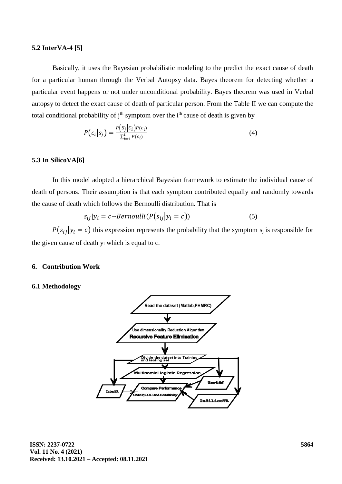# **5.2 InterVA-4 [5]**

Basically, it uses the Bayesian probabilistic modeling to the predict the exact cause of death for a particular human through the Verbal Autopsy data. Bayes theorem for detecting whether a particular event happens or not under unconditional probability. Bayes theorem was used in Verbal autopsy to detect the exact cause of death of particular person. From the Table II we can compute the total conditional probability of  $j<sup>th</sup>$  symptom over the  $i<sup>th</sup>$  cause of death is given by

$$
P(c_i|s_j) = \frac{P(s_j|c_i)P(c_i)}{\sum_{i=1}^{L} P(c_i)}
$$
\n(4)

# **5.3 In SilicoVA[6]**

In this model adopted a hierarchical Bayesian framework to estimate the individual cause of death of persons. Their assumption is that each symptom contributed equally and randomly towards the cause of death which follows the Bernoulli distribution. That is

$$
s_{ij}|y_i = c \sim Bernoulli(P(s_{ij}|y_i = c))
$$
\n<sup>(5)</sup>

 $P(s_{ii}|y_i = c)$  this expression represents the probability that the symptom s<sub>i</sub> is responsible for the given cause of death y<sup>i</sup> which is equal to c.

#### **6. Contribution Work**

#### **6.1 Methodology**

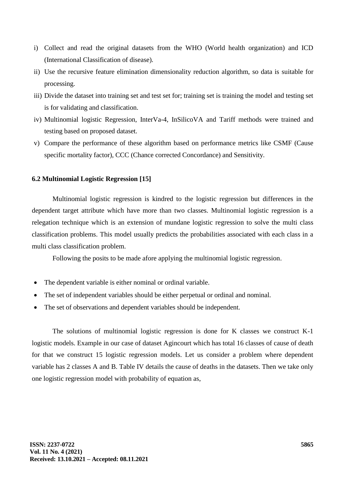- i) Collect and read the original datasets from the WHO (World health organization) and ICD (International Classification of disease).
- ii) Use the recursive feature elimination dimensionality reduction algorithm, so data is suitable for processing.
- iii) Divide the dataset into training set and test set for; training set is training the model and testing set is for validating and classification.
- iv) Multinomial logistic Regression, InterVa-4, InSilicoVA and Tariff methods were trained and testing based on proposed dataset.
- v) Compare the performance of these algorithm based on performance metrics like CSMF (Cause specific mortality factor), CCC (Chance corrected Concordance) and Sensitivity.

### **6.2 Multinomial Logistic Regression [15]**

Multinomial logistic regression is kindred to the logistic regression but differences in the dependent target attribute which have more than two classes. Multinomial logistic regression is a relegation technique which is an extension of mundane logistic regression to solve the multi class classification problems. This model usually predicts the probabilities associated with each class in a multi class classification problem.

Following the posits to be made afore applying the multinomial logistic regression.

- The dependent variable is either nominal or ordinal variable.
- The set of independent variables should be either perpetual or ordinal and nominal.
- The set of observations and dependent variables should be independent.

The solutions of multinomial logistic regression is done for K classes we construct K-1 logistic models. Example in our case of dataset Agincourt which has total 16 classes of cause of death for that we construct 15 logistic regression models. Let us consider a problem where dependent variable has 2 classes A and B. Table IV details the cause of deaths in the datasets. Then we take only one logistic regression model with probability of equation as,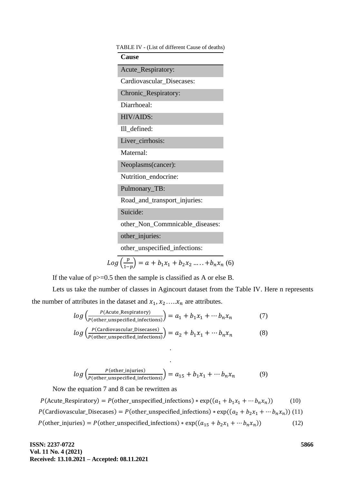| TABLE IV - (List of different Cause of deaths) |
|------------------------------------------------|
| <b>Cause</b>                                   |
| Acute_Respiratory:                             |
| Cardiovascular_Disecases:                      |
| Chronic_Respiratory:                           |
| Diarrhoeal:                                    |
| HIV/AIDS:                                      |
| Ill_defined:                                   |
| Liver_cirrhosis:                               |
| Maternal:                                      |
| Neoplasms(cancer):                             |
| Nutrition_endocrine:                           |
| Pulmonary_TB:                                  |
| Road_and_transport_injuries:                   |
| Suicide:                                       |
| other_Non_Commnicable_diseases:                |
| other_injuries:                                |
| other_unspecified_infections:                  |

$$
Log\left(\frac{p}{1-p}\right) = a + b_1 x_1 + b_2 x_2 \dots + b_n x_n
$$
 (6)

If the value of  $p>=0.5$  then the sample is classified as A or else B.

Lets us take the number of classes in Agincourt dataset from the Table IV. Here n represents the number of attributes in the dataset and  $x_1, x_2, ..., x_n$  are attributes.

$$
log\left(\frac{P(\text{Acute} \cdot \text{Respiratory})}{P(\text{other\_unspecified\_infections})}\right) = a_1 + b_1 x_1 + \cdots + b_n x_n \tag{7}
$$
  

$$
log\left(\frac{P(\text{Cardiovascular\_Disecases})}{P(\text{other\_unspecified\_infections})}\right) = a_2 + b_1 x_1 + \cdots + b_n x_n \tag{8}
$$

$$
log\left(\frac{P(\text{other\_injuries})}{P(\text{other\_unspecified\_infections})}\right) = a_{15} + b_1 x_1 + \dots + b_n x_n \tag{9}
$$

.

.

Now the equation 7 and 8 can be rewritten as

 $P(\text{Acute\_Respiratory}) = P(\text{other\_unspecified\_infections}) * \exp((a_1 + b_1 x_1 + \cdots b_n x_n))$  $(10)$ P(Cardiovascular\_Disecases) = P(other\_unspecified\_infections) \*  $\exp((a_2 + b_2x_1 + \cdots b_nx_n))$  (11)  $P(\text{other}\_\text{injuries}) = P(\text{other}\_\text{unspecified}\_\text{infections}) * \exp((a_{15} + b_2x_1 + \cdots b_nx_n))$ )) (12)

**ISSN: 2237-0722 Vol. 11 No. 4 (2021) Received: 13.10.2021 – Accepted: 08.11.2021**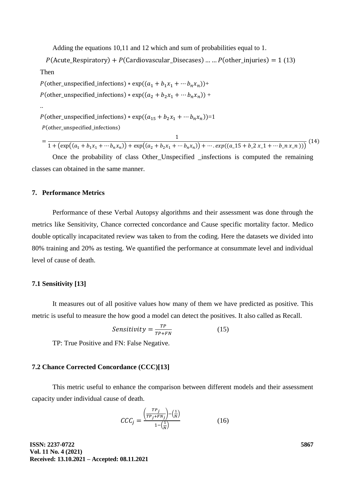Adding the equations 10,11 and 12 which and sum of probabilities equal to 1.

 $P$ (Acute Respiratory) +  $P$ (Cardiovascular Disecases) … …  $P$ (other injuries) = 1 (13) Then

 $P(\text{other\_unspecified\_infections}) * \exp((a_1 + b_1x_1 + \cdots + b_nx_n)) +$  $P(\text{other\_unspecified\_infections}) * \exp((a_2 + b_2 x_1 + \cdots b_n x_n)) +$ ..  $P(\text{other\_unspecified\_infections}) * \exp((a_{15} + b_2 x_1 + \cdots b_n x_n)) = 1$ (other\_unspecified\_infections)

$$
= \frac{1}{1 + (\exp((a_1 + b_1x_1 + \cdots + b_nx_n)) + \exp((a_2 + b_2x_1 + \cdots + b_nx_n)) + \cdots + \exp((a_1 + b_2x_1 + \cdots + b_nx_n)))}
$$
(14)

Once the probability of class Other\_Unspecified \_insfections is computed the remaining classes can obtained in the same manner.

## **7. Performance Metrics**

Performance of these Verbal Autopsy algorithms and their assessment was done through the metrics like Sensitivity, Chance corrected concordance and Cause specific mortality factor. Medico double optically incapacitated review was taken to from the coding. Here the datasets we divided into 80% training and 20% as testing. We quantified the performance at consummate level and individual level of cause of death.

#### **7.1 Sensitivity [13]**

It measures out of all positive values how many of them we have predicted as positive. This metric is useful to measure the how good a model can detect the positives. It also called as Recall.

$$
Sensitivity = \frac{TP}{TP+FN}
$$
 (15)

TP: True Positive and FN: False Negative.

#### **7.2 Chance Corrected Concordance (CCC)[13]**

This metric useful to enhance the comparison between different models and their assessment capacity under individual cause of death.

$$
CCC_j = \frac{\left(\frac{TP_j}{TP_j + FN_j}\right) - \left(\frac{1}{N}\right)}{1 - \left(\frac{1}{N}\right)}
$$
(16)

**ISSN: 2237-0722 Vol. 11 No. 4 (2021) Received: 13.10.2021 – Accepted: 08.11.2021**  **5867**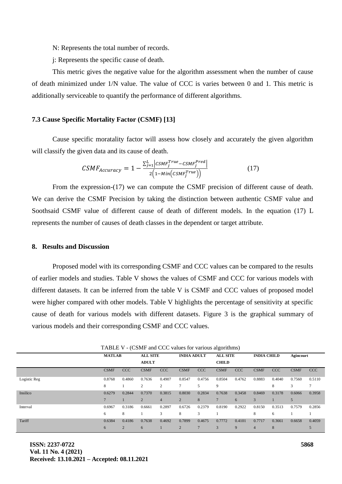N: Represents the total number of records.

j: Represents the specific cause of death.

This metric gives the negative value for the algorithm assessment when the number of cause of death minimized under 1/N value. The value of CCC is varies between 0 and 1. This metric is additionally serviceable to quantify the performance of different algorithms.

#### **7.3 Cause Specific Mortality Factor (CSMF) [13]**

Cause specific moratality factor will assess how closely and accurately the given algorithm will classify the given data and its cause of death.

$$
CSMF_{Accuracy} = 1 - \frac{\sum_{j=1}^{L} |CSMF_j^{True} - CSMF_j^{Pred}|}{2(1 - Min(CSMF_j^{True}))}
$$
\n(17)

From the expression-(17) we can compute the CSMF precision of different cause of death. We can derive the CSMF Precision by taking the distinction between authentic CSMF value and Soothsaid CSMF value of different cause of death of different models. In the equation (17) L represents the number of causes of death classes in the dependent or target attribute.

#### **8. Results and Discussion**

Proposed model with its corresponding CSMF and CCC values can be compared to the results of earlier models and studies. Table V shows the values of CSMF and CCC for various models with different datasets. It can be inferred from the table V is CSMF and CCC values of proposed model were higher compared with other models. Table V highlights the percentage of sensitivity at specific cause of death for various models with different datasets. Figure 3 is the graphical summary of various models and their corresponding CSMF and CCC values.

|              |                                  |                |                                       |                |                    | ັ          |                  |        |                |            |             |            |
|--------------|----------------------------------|----------------|---------------------------------------|----------------|--------------------|------------|------------------|--------|----------------|------------|-------------|------------|
|              | <b>ALL SITE</b><br><b>MATLAB</b> |                | <b>INDIA ADULT</b><br><b>ALL SITE</b> |                | <b>INDIA CHILD</b> |            | <b>Agincourt</b> |        |                |            |             |            |
|              |                                  |                | <b>ADULT</b>                          |                | <b>CHILD</b>       |            |                  |        |                |            |             |            |
|              | <b>CSMF</b>                      | CCC            | <b>CSMF</b>                           | <b>CCC</b>     | <b>CSMF</b>        | <b>CCC</b> | <b>CSMF</b>      | CCC    | <b>CSMF</b>    | <b>CCC</b> | <b>CSMF</b> | <b>CCC</b> |
| Logistic Reg | 0.8768                           | 0.4860         | 0.7636                                | 0.4907         | 0.8547             | 0.4756     | 0.8504           | 0.4762 | 0.8883         | 0.4040     | 0.7560      | 0.5110     |
|              | 8                                |                | 2                                     | $\overline{c}$ | π                  |            | 9                |        |                | 8          | 3           | 7          |
| Insilico     | 0.6279                           | 0.2844         | 0.7370                                | 0.3815         | 0.8030             | 0.2834     | 0.7638           | 0.3458 | 0.8469         | 0.3178     | 0.6066      | 0.3958     |
|              |                                  |                | $\overline{2}$                        | $\overline{4}$ | $\overline{2}$     | 8          | $\overline{7}$   | 6      | 3              |            | 5           |            |
| Interval     | 0.6967                           | 0.3186         | 0.6661                                | 0.2897         | 0.6726             | 0.2379     | 0.8190           | 0.2922 | 0.8150         | 0.3513     | 0.7579      | 0.2856     |
|              | 6                                | 8              |                                       | 3              | 8                  | 3          |                  |        | 8              | 6          |             |            |
| Tariff       | 0.6384                           | 0.4186         | 0.7638                                | 0.4692         | 0.7899             | 0.4675     | 0.7772           | 0.4101 | 0.7717         | 0.3661     | 0.6658      | 0.4059     |
|              | 6                                | $\overline{2}$ | 6                                     |                | $\overline{2}$     |            | 3                | 9      | $\overline{4}$ | 8          |             |            |

TABLE V - (CSMF and CCC values for various algorithms)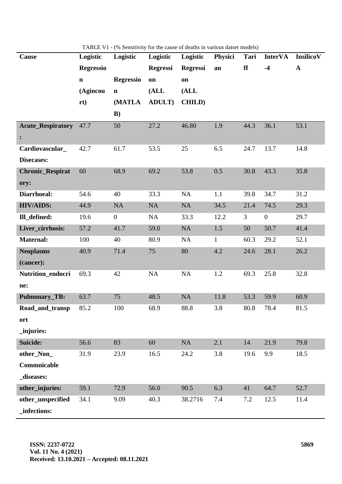| <b>Cause</b>                                    | Logistic         | Logistic         | Logistic        | Logistic        | Physici      | Tari           | <b>InterVA</b>   | InsilicoV    |
|-------------------------------------------------|------------------|------------------|-----------------|-----------------|--------------|----------------|------------------|--------------|
|                                                 | <b>Regressio</b> |                  | <b>Regressi</b> | <b>Regressi</b> | an           | ff             | $-4$             | $\mathbf{A}$ |
|                                                 | $\mathbf{n}$     | <b>Regressio</b> | on              | on              |              |                |                  |              |
|                                                 | (Agincou         | $\mathbf n$      | (ALL)           | (ALL)           |              |                |                  |              |
|                                                 | rt)              | (MATLA           | <b>ADULT</b> )  | <b>CHILD</b> )  |              |                |                  |              |
|                                                 |                  | $\bf{B}$         |                 |                 |              |                |                  |              |
| <b>Acute_Respiratory</b> 47.7<br>$\ddot{\cdot}$ |                  | 50               | 27.2            | 46.80           | 1.9          | 44.3           | 36.1             | 53.1         |
| Cardiovascular_                                 | 42.7             | 61.7             | 53.5            | 25              | 6.5          | 24.7           | 13.7             | 14.8         |
| Disecases:                                      |                  |                  |                 |                 |              |                |                  |              |
| <b>Chronic_Respirat</b>                         | 60               | 68.9             | 69.2            | 53.8            | 0.5          | 30.8           | 43.3             | 35.8         |
| ory:                                            |                  |                  |                 |                 |              |                |                  |              |
| Diarrhoeal:                                     | 54.6             | 40               | 33.3            | NA              | 1.1          | 39.8           | 34.7             | 31.2         |
| <b>HIV/AIDS:</b>                                | 44.9             | NA               | NA              | NA              | 34.5         | 21.4           | 74.5             | 29.3         |
| Ill_defined:                                    | 19.6             | $\overline{0}$   | NA              | 33.3            | 12.2         | 3 <sup>1</sup> | $\boldsymbol{0}$ | 29.7         |
| Liver_cirrhosis:                                | 57.2             | 41.7             | 59.0            | <b>NA</b>       | 1.5          | 50             | 50.7             | 41.4         |
| <b>Maternal:</b>                                | 100              | 40               | 80.9            | NA              | $\mathbf{1}$ | 60.3           | 29.2             | 52.1         |
| <b>Neoplasms</b><br>(cancer):                   | 40.9             | 71.4             | 75              | 80              | 4.2          | 24.6           | 28.1             | 26.2         |
| Nutrition_endocri                               | 69.3             | 42               | NA              | NA              | 1.2          | 69.3           | 25.8             | 32.8         |
| ne:                                             |                  |                  |                 |                 |              |                |                  |              |
| <b>Pulmonary_TB:</b>                            | 63.7             | 75               | 48.5            | NA              | 11.8         | 53.3           | 59.9             | 60.9         |
| Road_and_transp                                 | 85.2             | 100              | 68.9            | 88.8            | 3.8          | 80.8           | 78.4             | 81.5         |
| ort                                             |                  |                  |                 |                 |              |                |                  |              |
| _injuries:                                      |                  |                  |                 |                 |              |                |                  |              |
| Suicide:                                        | 56.6             | 83               | 60              | NA              | 2.1          | 14             | 21.9             | 79.8         |
| other_Non_                                      | 31.9             | 23.9             | 16.5            | 24.2            | 3.8          | 19.6           | 9.9              | 18.5         |
| Commnicable                                     |                  |                  |                 |                 |              |                |                  |              |
| _diseases:                                      |                  |                  |                 |                 |              |                |                  |              |
| other_injuries:                                 | 59.1             | 72.9             | 56.0            | 90.5            | 6.3          | 41             | 64.7             | 52.7         |
| other_unspecified                               | 34.1             | 9.09             | 40.3            | 38.2716         | 7.4          | 7.2            | 12.5             | 11.4         |
| _infections:                                    |                  |                  |                 |                 |              |                |                  |              |

TABLE V1 - (% Sensitivity for the cause of deaths in various datset models)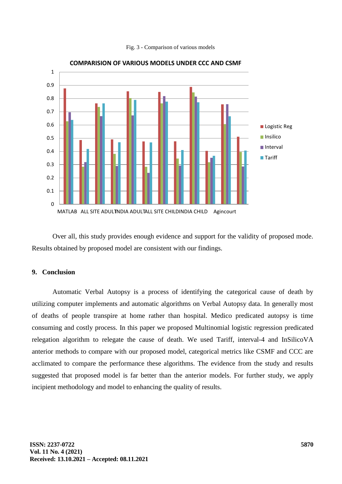



Over all, this study provides enough evidence and support for the validity of proposed mode. Results obtained by proposed model are consistent with our findings.

#### **9. Conclusion**

Automatic Verbal Autopsy is a process of identifying the categorical cause of death by utilizing computer implements and automatic algorithms on Verbal Autopsy data. In generally most of deaths of people transpire at home rather than hospital. Medico predicated autopsy is time consuming and costly process. In this paper we proposed Multinomial logistic regression predicated relegation algorithm to relegate the cause of death. We used Tariff, interval-4 and InSilicoVA anterior methods to compare with our proposed model, categorical metrics like CSMF and CCC are acclimated to compare the performance these algorithms. The evidence from the study and results suggested that proposed model is far better than the anterior models. For further study, we apply incipient methodology and model to enhancing the quality of results.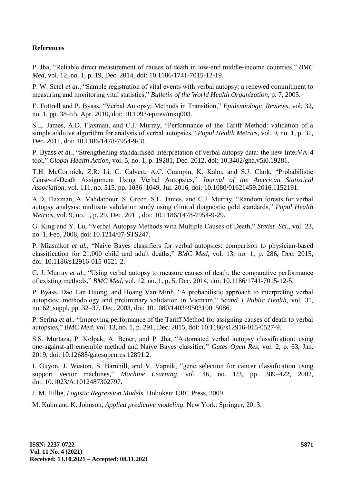# **References**

P. Jha, "Reliable direct measurement of causes of death in low-and middle-income countries," *BMC Med*, vol. 12, no. 1, p. 19, Dec. 2014, doi: 10.1186/1741-7015-12-19.

P. W. Setel *et al.*, "Sample registration of vital events with verbal autopsy: a renewed commitment to measuring and monitoring vital statistics," *Bulletin of the World Health Organization*, p. 7, 2005.

E. Fottrell and P. Byass, "Verbal Autopsy: Methods in Transition," *Epidemiologic Reviews*, vol. 32, no. 1, pp. 38–55, Apr. 2010, doi: 10.1093/epirev/mxq003.

S.L. James, A.D. Flaxman, and C.J. Murray, "Performance of the Tariff Method: validation of a simple additive algorithm for analysis of verbal autopsies," *Popul Health Metrics*, vol. 9, no. 1, p. 31, Dec. 2011, doi: 10.1186/1478-7954-9-31.

P. Byass *et al.*, "Strengthening standardised interpretation of verbal autopsy data: the new InterVA-4 tool," *Global Health Action*, vol. 5, no. 1, p. 19281, Dec. 2012, doi: 10.3402/gha.v5i0.19281.

T.H. McCormick, Z.R. Li, C. Calvert, A.C. Crampin, K. Kahn, and S.J. Clark, "Probabilistic Cause-of-Death Assignment Using Verbal Autopsies," *Journal of the American Statistical Association*, vol. 111, no. 515, pp. 1036–1049, Jul. 2016, doi: 10.1080/01621459.2016.1152191.

A.D. Flaxman, A. Vahdatpour, S. Green, S.L. James, and C.J. Murray, "Random forests for verbal autopsy analysis: multisite validation study using clinical diagnostic gold standards," *Popul Health Metrics*, vol. 9, no. 1, p. 29, Dec. 2011, doi: 10.1186/1478-7954-9-29.

G. King and Y. Lu, "Verbal Autopsy Methods with Multiple Causes of Death," *Statist. Sci.*, vol. 23, no. 1, Feb. 2008, doi: 10.1214/07-STS247.

P. Miasnikof *et al.*, "Naive Bayes classifiers for verbal autopsies: comparison to physician-based classification for 21,000 child and adult deaths," *BMC Med*, vol. 13, no. 1, p. 286, Dec. 2015, doi: 10.1186/s12916-015-0521-2.

C. J. Murray *et al.*, "Using verbal autopsy to measure causes of death: the comparative performance of existing methods," *BMC Med*, vol. 12, no. 1, p. 5, Dec. 2014, doi: 10.1186/1741-7015-12-5.

P. Byass, Dao Lan Huong, and Hoang Van Minh, "A probabilistic approach to interpreting verbal autopsies: methodology and preliminary validation in Vietnam," *Scand J Public Health*, vol. 31, no. 62\_suppl, pp. 32–37, Dec. 2003, doi: 10.1080/14034950310015086.

P. Serina *et al.*, "Improving performance of the Tariff Method for assigning causes of death to verbal autopsies," *BMC Med*, vol. 13, no. 1, p. 291, Dec. 2015, doi: 10.1186/s12916-015-0527-9.

S.S. Murtaza, P. Kolpak, A. Bener, and P. Jha, "Automated verbal autopsy classification: using one-against-all ensemble method and Naïve Bayes classifier," *Gates Open Res*, vol. 2, p. 63, Jan. 2019, doi: 10.12688/gatesopenres.12891.2.

I. Guyon, J. Weston, S. Barnhill, and V. Vapnik, "gene selection for cancer classification using support vector machines," *Machine Learning*, vol. 46, no. 1/3, pp. 389–422, 2002, doi: 10.1023/A:1012487302797.

J. M. Hilbe, *Logistic Regression Models.* Hoboken: CRC Press, 2009.

M. Kuhn and K. Johnson, *Applied predictive modeling*. New York: Springer, 2013.